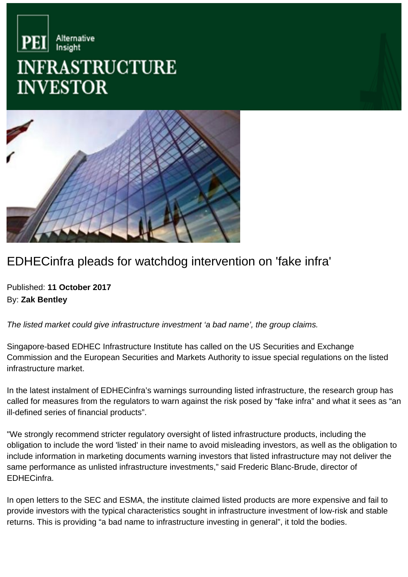



## EDHECinfra pleads for watchdog intervention on 'fake infra'

Published: **11 October 2017** By: **Zak Bentley**

The listed market could give infrastructure investment 'a bad name', the group claims.

Singapore-based EDHEC Infrastructure Institute has called on the US Securities and Exchange Commission and the European Securities and Markets Authority to issue special regulations on the listed infrastructure market.

In the latest instalment of EDHECinfra's warnings surrounding listed infrastructure, the research group has called for measures from the regulators to warn against the risk posed by "fake infra" and what it sees as "an ill-defined series of financial products".

"We strongly recommend stricter regulatory oversight of listed infrastructure products, including the obligation to include the word 'listed' in their name to avoid misleading investors, as well as the obligation to include information in marketing documents warning investors that listed infrastructure may not deliver the same performance as unlisted infrastructure investments," said Frederic Blanc-Brude, director of EDHECinfra.

In open letters to the SEC and ESMA, the institute claimed listed products are more expensive and fail to provide investors with the typical characteristics sought in infrastructure investment of low-risk and stable returns. This is providing "a bad name to infrastructure investing in general", it told the bodies.